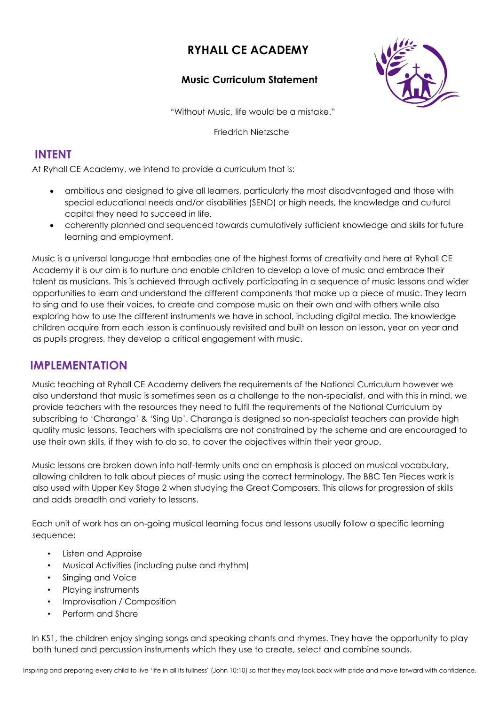# **RYHALL CE ACADEMY**

#### **Music Curriculum Statement**



"Without Music, life would be a mistake."

Friedrich Nietzsche

### **INTENT**

At Ryhall CE Academy, we intend to provide a curriculum that is:

- ambitious and designed to give all learners, particularly the most disadvantaged and those with special educational needs and/or disabilities (SEND) or high needs, the knowledge and cultural capital they need to succeed in life.
- coherently planned and sequenced towards cumulatively sufficient knowledge and skills for future learning and employment.

Music is a universal language that embodies one of the highest forms of creativity and here at Ryhall CE Academy it is our aim is to nurture and enable children to develop a love of music and embrace their talent as musicians. This is achieved through actively participating in a sequence of music lessons and wider opportunities to learn and understand the different components that make up a piece of music. They learn to sing and to use their voices, to create and compose music on their own and with others while also exploring how to use the different instruments we have in school, including digital media. The knowledge children acquire from each lesson is continuously revisited and built on lesson on lesson, year on year and as pupils progress, they develop a critical engagement with music.

## **IMPLEMENTATION**

Music teaching at Ryhall CE Academy delivers the requirements of the National Curriculum however we also understand that music is sometimes seen as a challenge to the non-specialist, and with this in mind, we provide teachers with the resources they need to fulfil the requirements of the National Curriculum by subscribing to 'Charanga' & 'Sing Up'. Charanga is designed so non-specialist teachers can provide high quality music lessons. Teachers with specialisms are not constrained by the scheme and are encouraged to use their own skills, if they wish to do so, to cover the objectives within their year group.

Music lessons are broken down into half-termly units and an emphasis is placed on musical vocabulary, allowing children to talk about pieces of music using the correct terminology. The BBC Ten Pieces work is also used with Upper Key Stage 2 when studying the Great Composers. This allows for progression of skills and adds breadth and variety to lessons.

Each unit of work has an on-going musical learning focus and lessons usually follow a specific learning sequence:

- Listen and Appraise
- Musical Activities (including pulse and rhythm)
- Singing and Voice
- Playing instruments
- Improvisation / Composition
- Perform and Share

In KS1, the children enjoy singing songs and speaking chants and rhymes. They have the opportunity to play both tuned and percussion instruments which they use to create, select and combine sounds.

Inspiring and preparing every child to live 'life in all its fullness' (John 10:10) so that they may look back with pride and move forward with confidence.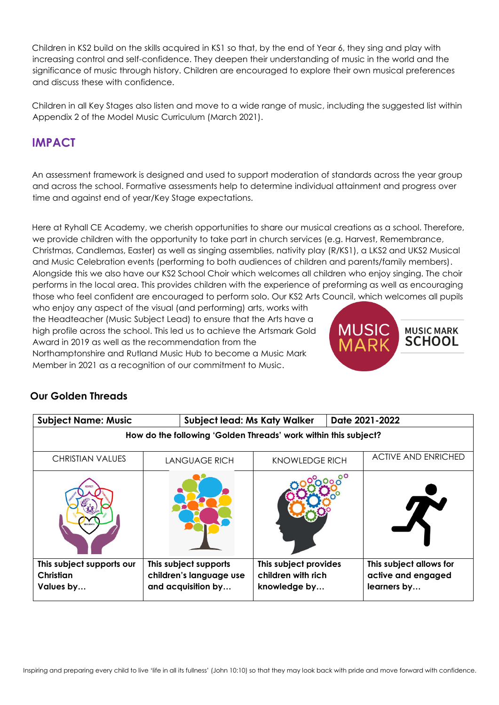Children in KS2 build on the skills acquired in KS1 so that, by the end of Year 6, they sing and play with increasing control and self-confidence. They deepen their understanding of music in the world and the significance of music through history. Children are encouraged to explore their own musical preferences and discuss these with confidence.

Children in all Key Stages also listen and move to a wide range of music, including the suggested list within Appendix 2 of the Model Music Curriculum (March 2021).

## **IMPACT**

An assessment framework is designed and used to support moderation of standards across the year group and across the school. Formative assessments help to determine individual attainment and progress over time and against end of year/Key Stage expectations.

Here at Ryhall CE Academy, we cherish opportunities to share our musical creations as a school. Therefore, we provide children with the opportunity to take part in church services (e.g. Harvest, Remembrance, Christmas, Candlemas, Easter) as well as singing assemblies, nativity play (R/KS1), a LKS2 and UKS2 Musical and Music Celebration events (performing to both audiences of children and parents/family members). Alongside this we also have our KS2 School Choir which welcomes all children who enjoy singing. The choir performs in the local area. This provides children with the experience of preforming as well as encouraging those who feel confident are encouraged to perform solo. Our KS2 Arts Council, which welcomes all pupils

who enjoy any aspect of the visual (and performing) arts, works with the Headteacher (Music Subject Lead) to ensure that the Arts have a high profile across the school. This led us to achieve the Artsmark Gold Award in 2019 as well as the recommendation from the Northamptonshire and Rutland Music Hub to become a Music Mark Member in 2021 as a recognition of our commitment to Music.



### **Our Golden Threads**

| <b>Subject Name: Music</b>                                      | <b>Subject lead: Ms Katy Walker</b>                                    |                                                             | Date 2021-2022                                               |  |
|-----------------------------------------------------------------|------------------------------------------------------------------------|-------------------------------------------------------------|--------------------------------------------------------------|--|
| How do the following 'Golden Threads' work within this subject? |                                                                        |                                                             |                                                              |  |
| <b>CHRISTIAN VALUES</b>                                         | <b>LANGUAGE RICH</b>                                                   | <b>KNOWLEDGE RICH</b>                                       | <b>ACTIVE AND ENRICHED</b>                                   |  |
| RESILIENCI                                                      |                                                                        |                                                             |                                                              |  |
| This subject supports our<br>Christian<br>Values by             | This subject supports<br>children's language use<br>and acquisition by | This subject provides<br>children with rich<br>knowledge by | This subject allows for<br>active and engaged<br>learners by |  |